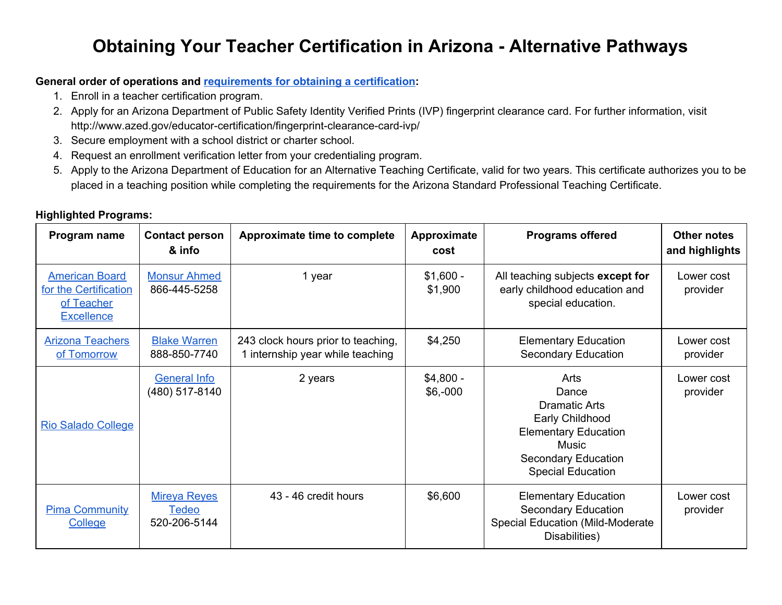## **Obtaining Your Teacher Certification in Arizona - Alternative Pathways**

## **General order of operations and [requirements](https://cms.azed.gov/home/GetDocumentFile?id=57a606fbaadebe02a4f4f3d6) for obtaining a certification:**

- 1. Enroll in a teacher certification program.
- 2. Apply for an Arizona Department of Public Safety Identity Verified Prints (IVP) fingerprint clearance card. For further information, visit http://www.azed.gov/educator-certification/fingerprint-clearance-card-ivp/
- 3. Secure employment with a school district or charter school.
- 4. Request an enrollment verification letter from your credentialing program.
- 5. Apply to the Arizona Department of Education for an Alternative Teaching Certificate, valid for two years. This certificate authorizes you to be placed in a teaching position while completing the requirements for the Arizona Standard Professional Teaching Certificate.

## **Highlighted Programs:**

| Program name                                                                      | <b>Contact person</b><br>& info                     | Approximate time to complete                                           | Approximate<br>cost      | <b>Programs offered</b>                                                                                                                                           | <b>Other notes</b><br>and highlights |
|-----------------------------------------------------------------------------------|-----------------------------------------------------|------------------------------------------------------------------------|--------------------------|-------------------------------------------------------------------------------------------------------------------------------------------------------------------|--------------------------------------|
| <b>American Board</b><br>for the Certification<br>of Teacher<br><b>Excellence</b> | <b>Monsur Ahmed</b><br>866-445-5258                 | 1 year                                                                 | $$1,600 -$<br>\$1,900    | All teaching subjects except for<br>early childhood education and<br>special education.                                                                           | Lower cost<br>provider               |
| <b>Arizona Teachers</b><br>of Tomorrow                                            | <b>Blake Warren</b><br>888-850-7740                 | 243 clock hours prior to teaching,<br>1 internship year while teaching | \$4,250                  | <b>Elementary Education</b><br><b>Secondary Education</b>                                                                                                         | Lower cost<br>provider               |
| <b>Rio Salado College</b>                                                         | <b>General Info</b><br>(480) 517-8140               | 2 years                                                                | $$4,800 -$<br>$$6, -000$ | Arts<br>Dance<br><b>Dramatic Arts</b><br>Early Childhood<br><b>Elementary Education</b><br><b>Music</b><br><b>Secondary Education</b><br><b>Special Education</b> | Lower cost<br>provider               |
| <b>Pima Community</b><br>College                                                  | <b>Mireya Reyes</b><br><u>Tedeo</u><br>520-206-5144 | 43 - 46 credit hours                                                   | \$6,600                  | <b>Elementary Education</b><br><b>Secondary Education</b><br><b>Special Education (Mild-Moderate</b><br>Disabilities)                                             | Lower cost<br>provider               |